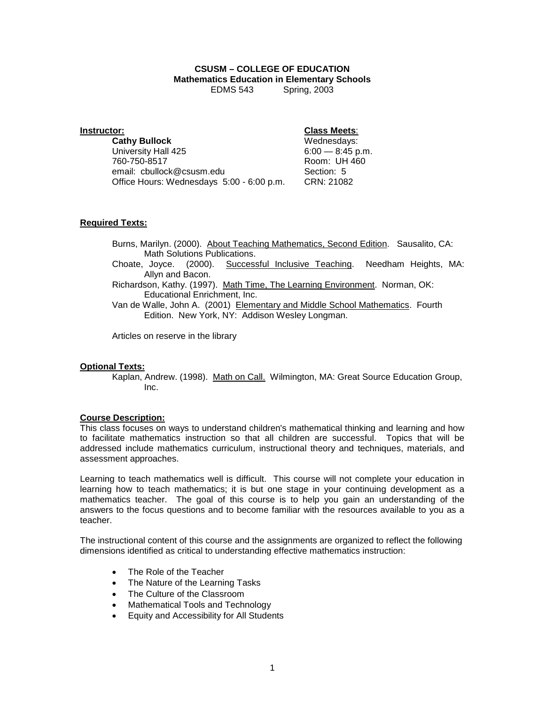#### **CSUSM – COLLEGE OF EDUCATION Mathematics Education in Elementary Schools** Spring, 2003

#### **Instructor: Class Meets**:

**Cathy Bullock** Wednesdays: University Hall 425<br>760-750-8517 email: cbullock@csusm.edu Section: 5 Office Hours: Wednesdays 5:00 - 6:00 p.m. CRN: 21082

Room: UH 460

#### **Required Texts:**

Burns, Marilyn. (2000). About Teaching Mathematics, Second Edition. Sausalito, CA: Math Solutions Publications.<br>Choate, Joyce. (2000). Success

(2000). Successful Inclusive Teaching. Needham Heights, MA: Allyn and Bacon.

Richardson, Kathy. (1997). Math Time, The Learning Environment. Norman, OK: Educational Enrichment, Inc.

Van de Walle, John A. (2001) Elementary and Middle School Mathematics. Fourth Edition. New York, NY: Addison Wesley Longman.

Articles on reserve in the library

#### **Optional Texts:**

Kaplan, Andrew. (1998). Math on Call. Wilmington, MA: Great Source Education Group, Inc.

#### **Course Description:**

This class focuses on ways to understand children's mathematical thinking and learning and how to facilitate mathematics instruction so that all children are successful. Topics that will be addressed include mathematics curriculum, instructional theory and techniques, materials, and assessment approaches.

Learning to teach mathematics well is difficult. This course will not complete your education in learning how to teach mathematics; it is but one stage in your continuing development as a mathematics teacher. The goal of this course is to help you gain an understanding of the answers to the focus questions and to become familiar with the resources available to you as a teacher.

The instructional content of this course and the assignments are organized to reflect the following dimensions identified as critical to understanding effective mathematics instruction:

- The Role of the Teacher
- The Nature of the Learning Tasks
- The Culture of the Classroom
- Mathematical Tools and Technology
- Equity and Accessibility for All Students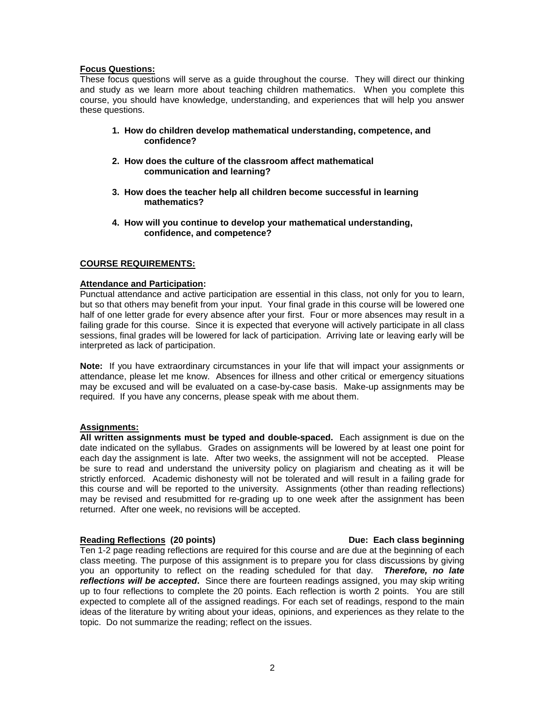#### **Focus Questions:**

These focus questions will serve as a guide throughout the course. They will direct our thinking and study as we learn more about teaching children mathematics. When you complete this course, you should have knowledge, understanding, and experiences that will help you answer these questions.

- **1. How do children develop mathematical understanding, competence, and confidence?**
- **2. How does the culture of the classroom affect mathematical communication and learning?**
- **3. How does the teacher help all children become successful in learning mathematics?**
- **4. How will you continue to develop your mathematical understanding, confidence, and competence?**

### **COURSE REQUIREMENTS:**

#### **Attendance and Participation:**

Punctual attendance and active participation are essential in this class, not only for you to learn, but so that others may benefit from your input. Your final grade in this course will be lowered one half of one letter grade for every absence after your first. Four or more absences may result in a failing grade for this course. Since it is expected that everyone will actively participate in all class sessions, final grades will be lowered for lack of participation. Arriving late or leaving early will be interpreted as lack of participation.

**Note:** If you have extraordinary circumstances in your life that will impact your assignments or attendance, please let me know. Absences for illness and other critical or emergency situations may be excused and will be evaluated on a case-by-case basis. Make-up assignments may be required. If you have any concerns, please speak with me about them.

## **Assignments:**

**All written assignments must be typed and double-spaced.** Each assignment is due on the date indicated on the syllabus. Grades on assignments will be lowered by at least one point for each day the assignment is late. After two weeks, the assignment will not be accepted. Please be sure to read and understand the university policy on plagiarism and cheating as it will be strictly enforced. Academic dishonesty will not be tolerated and will result in a failing grade for this course and will be reported to the university. Assignments (other than reading reflections) may be revised and resubmitted for re-grading up to one week after the assignment has been returned. After one week, no revisions will be accepted.

#### **Reading Reflections (20 points) Due: Each class beginning**

#### Ten 1-2 page reading reflections are required for this course and are due at the beginning of each class meeting. The purpose of this assignment is to prepare you for class discussions by giving you an opportunity to reflect on the reading scheduled for that day. *Therefore, no late reflections will be accepted***.** Since there are fourteen readings assigned, you may skip writing up to four reflections to complete the 20 points. Each reflection is worth 2 points. You are still expected to complete all of the assigned readings. For each set of readings, respond to the main ideas of the literature by writing about your ideas, opinions, and experiences as they relate to the topic. Do not summarize the reading; reflect on the issues.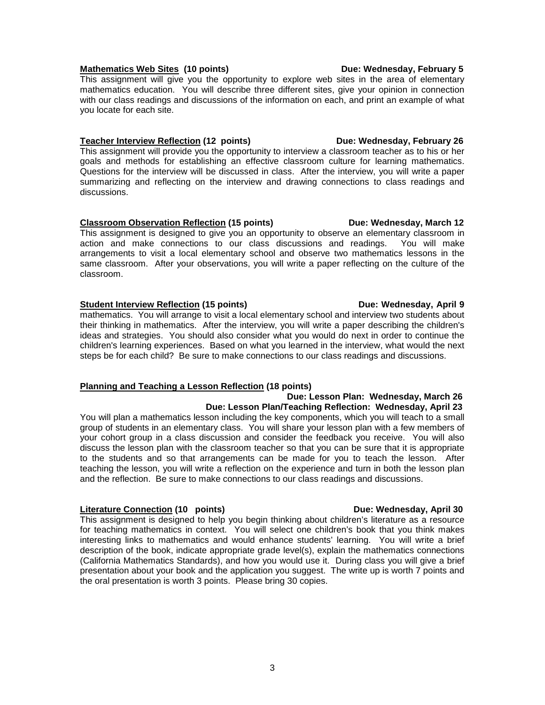### Mathematics Web Sites (10 points) **Due: Wednesday, February 5**

This assignment will give you the opportunity to explore web sites in the area of elementary mathematics education. You will describe three different sites, give your opinion in connection with our class readings and discussions of the information on each, and print an example of what you locate for each site.

#### **Teacher Interview Reflection (12 points) Due: Wednesday, February 26**

This assignment will provide you the opportunity to interview a classroom teacher as to his or her goals and methods for establishing an effective classroom culture for learning mathematics. Questions for the interview will be discussed in class. After the interview, you will write a paper summarizing and reflecting on the interview and drawing connections to class readings and discussions.

#### **Classroom Observation Reflection (15 points) Due: Wednesday, March 12**

This assignment is designed to give you an opportunity to observe an elementary classroom in action and make connections to our class discussions and readings. You will make arrangements to visit a local elementary school and observe two mathematics lessons in the same classroom. After your observations, you will write a paper reflecting on the culture of the classroom.

#### **Student Interview Reflection (15 points) Due: Wednesday, April 9**

mathematics. You will arrange to visit a local elementary school and interview two students about their thinking in mathematics. After the interview, you will write a paper describing the children's ideas and strategies. You should also consider what you would do next in order to continue the children's learning experiences. Based on what you learned in the interview, what would the next steps be for each child? Be sure to make connections to our class readings and discussions.

### **Planning and Teaching a Lesson Reflection (18 points)**

#### **Due: Lesson Plan: Wednesday, March 26 Due: Lesson Plan/Teaching Reflection: Wednesday, April 23** You will plan a mathematics lesson including the key components, which you will teach to a small group of students in an elementary class. You will share your lesson plan with a few members of your cohort group in a class discussion and consider the feedback you receive. You will also discuss the lesson plan with the classroom teacher so that you can be sure that it is appropriate to the students and so that arrangements can be made for you to teach the lesson. After teaching the lesson, you will write a reflection on the experience and turn in both the lesson plan and the reflection. Be sure to make connections to our class readings and discussions.

### **Literature Connection (10 points) Connection Due: Wednesday, April 30**

This assignment is designed to help you begin thinking about children's literature as a resource for teaching mathematics in context. You will select one children's book that you think makes interesting links to mathematics and would enhance students' learning. You will write a brief description of the book, indicate appropriate grade level(s), explain the mathematics connections (California Mathematics Standards), and how you would use it. During class you will give a brief presentation about your book and the application you suggest. The write up is worth 7 points and the oral presentation is worth 3 points. Please bring 30 copies.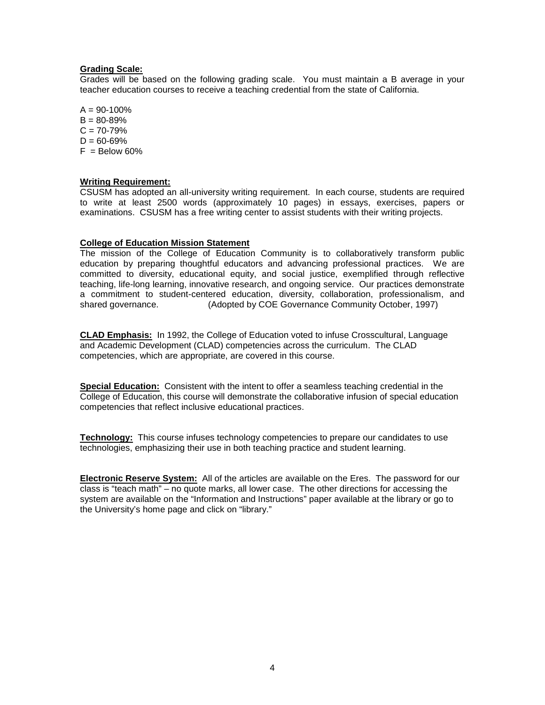#### **Grading Scale:**

Grades will be based on the following grading scale. You must maintain a B average in your teacher education courses to receive a teaching credential from the state of California.

 $A = 90 - 100\%$  $B = 80 - 89%$  $C = 70 - 79%$  $D = 60 - 69%$  $F =$ Below 60%

#### **Writing Requirement:**

CSUSM has adopted an all-university writing requirement. In each course, students are required to write at least 2500 words (approximately 10 pages) in essays, exercises, papers or examinations. CSUSM has a free writing center to assist students with their writing projects.

#### **College of Education Mission Statement**

The mission of the College of Education Community is to collaboratively transform public education by preparing thoughtful educators and advancing professional practices. We are committed to diversity, educational equity, and social justice, exemplified through reflective teaching, life-long learning, innovative research, and ongoing service. Our practices demonstrate a commitment to student-centered education, diversity, collaboration, professionalism, and shared governance. (Adopted by COE Governance Community October, 1997)

**CLAD Emphasis:** In 1992, the College of Education voted to infuse Crosscultural, Language and Academic Development (CLAD) competencies across the curriculum. The CLAD competencies, which are appropriate, are covered in this course.

**Special Education:** Consistent with the intent to offer a seamless teaching credential in the College of Education, this course will demonstrate the collaborative infusion of special education competencies that reflect inclusive educational practices.

**Technology:** This course infuses technology competencies to prepare our candidates to use technologies, emphasizing their use in both teaching practice and student learning.

**Electronic Reserve System:** All of the articles are available on the Eres. The password for our class is "teach math" – no quote marks, all lower case. The other directions for accessing the system are available on the "Information and Instructions" paper available at the library or go to the University's home page and click on "library."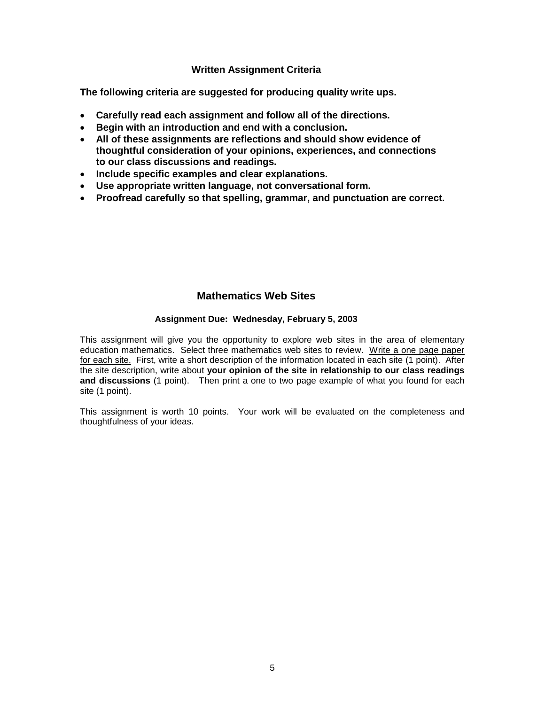## **Written Assignment Criteria**

**The following criteria are suggested for producing quality write ups.**

- **Carefully read each assignment and follow all of the directions.**
- **Begin with an introduction and end with a conclusion.**
- **All of these assignments are reflections and should show evidence of thoughtful consideration of your opinions, experiences, and connections to our class discussions and readings.**
- **Include specific examples and clear explanations.**
- **Use appropriate written language, not conversational form.**
- **Proofread carefully so that spelling, grammar, and punctuation are correct.**

# **Mathematics Web Sites**

### **Assignment Due: Wednesday, February 5, 2003**

This assignment will give you the opportunity to explore web sites in the area of elementary education mathematics. Select three mathematics web sites to review. Write a one page paper for each site. First, write a short description of the information located in each site (1 point). After the site description, write about **your opinion of the site in relationship to our class readings and discussions** (1 point).Then print a one to two page example of what you found for each site (1 point).

This assignment is worth 10 points. Your work will be evaluated on the completeness and thoughtfulness of your ideas.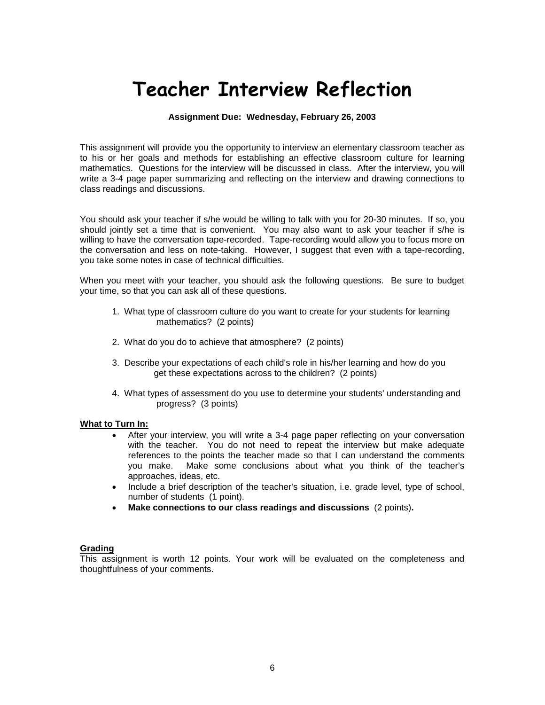# **Teacher Interview Reflection**

#### **Assignment Due: Wednesday, February 26, 2003**

This assignment will provide you the opportunity to interview an elementary classroom teacher as to his or her goals and methods for establishing an effective classroom culture for learning mathematics. Questions for the interview will be discussed in class. After the interview, you will write a 3-4 page paper summarizing and reflecting on the interview and drawing connections to class readings and discussions.

You should ask your teacher if s/he would be willing to talk with you for 20-30 minutes. If so, you should jointly set a time that is convenient. You may also want to ask your teacher if s/he is willing to have the conversation tape-recorded. Tape-recording would allow you to focus more on the conversation and less on note-taking. However, I suggest that even with a tape-recording, you take some notes in case of technical difficulties.

When you meet with your teacher, you should ask the following questions. Be sure to budget your time, so that you can ask all of these questions.

- 1. What type of classroom culture do you want to create for your students for learning mathematics? (2 points)
- 2. What do you do to achieve that atmosphere? (2 points)
- 3. Describe your expectations of each child's role in his/her learning and how do you get these expectations across to the children? (2 points)
- 4. What types of assessment do you use to determine your students' understanding and progress? (3 points)

#### **What to Turn In:**

- After your interview, you will write a 3-4 page paper reflecting on your conversation with the teacher. You do not need to repeat the interview but make adequate references to the points the teacher made so that I can understand the comments you make. Make some conclusions about what you think of the teacher's approaches, ideas, etc.
- Include a brief description of the teacher's situation, i.e. grade level, type of school, number of students (1 point).
- **Make connections to our class readings and discussions** (2 points)**.**

#### **Grading**

This assignment is worth 12 points. Your work will be evaluated on the completeness and thoughtfulness of your comments.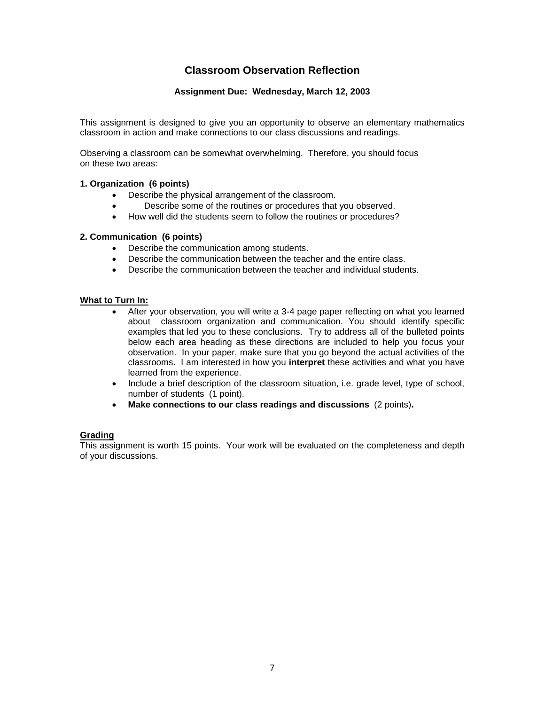# **Classroom Observation Reflection**

#### **Assignment Due: Wednesday, March 12, 2003**

This assignment is designed to give you an opportunity to observe an elementary mathematics classroom in action and make connections to our class discussions and readings.

Observing a classroom can be somewhat overwhelming. Therefore, you should focus on these two areas:

#### **1. Organization (6 points)**

- Describe the physical arrangement of the classroom.
- Describe some of the routines or procedures that you observed.
- How well did the students seem to follow the routines or procedures?

#### **2. Communication (6 points)**

- Describe the communication among students.
- Describe the communication between the teacher and the entire class.
- Describe the communication between the teacher and individual students.

#### **What to Turn In:**

- After your observation, you will write a 3-4 page paper reflecting on what you learned about classroom organization and communication. You should identify specific examples that led you to these conclusions. Try to address all of the bulleted points below each area heading as these directions are included to help you focus your observation. In your paper, make sure that you go beyond the actual activities of the classrooms. I am interested in how you **interpret** these activities and what you have learned from the experience.
- Include a brief description of the classroom situation, i.e. grade level, type of school, number of students (1 point).
- **Make connections to our class readings and discussions** (2 points)**.**

#### **Grading**

This assignment is worth 15 points. Your work will be evaluated on the completeness and depth of your discussions.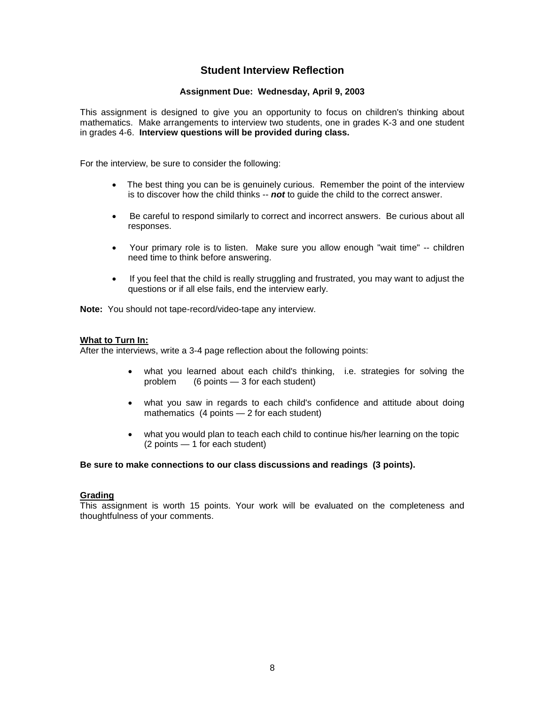# **Student Interview Reflection**

#### **Assignment Due: Wednesday, April 9, 2003**

This assignment is designed to give you an opportunity to focus on children's thinking about mathematics. Make arrangements to interview two students, one in grades K-3 and one student in grades 4-6. **Interview questions will be provided during class.**

For the interview, be sure to consider the following:

- The best thing you can be is genuinely curious. Remember the point of the interview is to discover how the child thinks -- *not* to guide the child to the correct answer.
- Be careful to respond similarly to correct and incorrect answers. Be curious about all responses.
- Your primary role is to listen. Make sure you allow enough "wait time" -- children need time to think before answering.
- If you feel that the child is really struggling and frustrated, you may want to adjust the questions or if all else fails, end the interview early.

**Note:** You should not tape-record/video-tape any interview.

#### **What to Turn In:**

After the interviews, write a 3-4 page reflection about the following points:

- what you learned about each child's thinking, i.e. strategies for solving the problem (6 points 3 for each student)  $(6$  points  $-3$  for each student)
- what you saw in regards to each child's confidence and attitude about doing mathematics (4 points — 2 for each student)
- what you would plan to teach each child to continue his/her learning on the topic (2 points — 1 for each student)

#### **Be sure to make connections to our class discussions and readings (3 points).**

#### **Grading**

This assignment is worth 15 points. Your work will be evaluated on the completeness and thoughtfulness of your comments.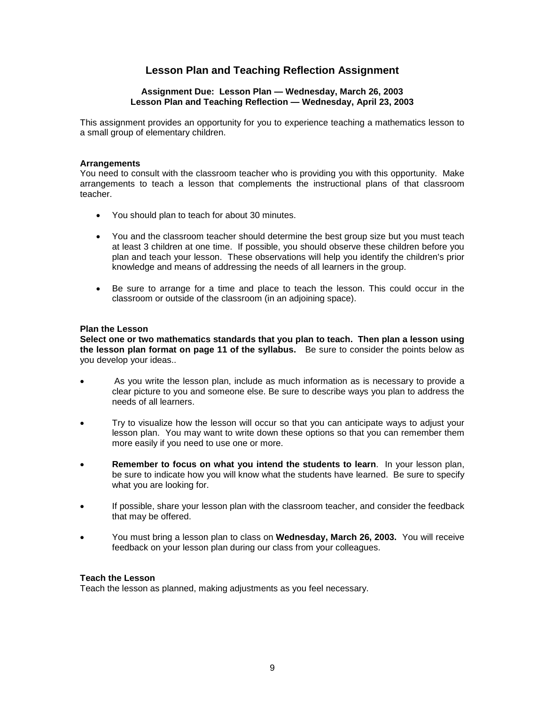# **Lesson Plan and Teaching Reflection Assignment**

#### **Assignment Due: Lesson Plan — Wednesday, March 26, 2003 Lesson Plan and Teaching Reflection — Wednesday, April 23, 2003**

This assignment provides an opportunity for you to experience teaching a mathematics lesson to a small group of elementary children.

#### **Arrangements**

You need to consult with the classroom teacher who is providing you with this opportunity. Make arrangements to teach a lesson that complements the instructional plans of that classroom teacher.

- You should plan to teach for about 30 minutes.
- You and the classroom teacher should determine the best group size but you must teach at least 3 children at one time. If possible, you should observe these children before you plan and teach your lesson. These observations will help you identify the children's prior knowledge and means of addressing the needs of all learners in the group.
- Be sure to arrange for a time and place to teach the lesson. This could occur in the classroom or outside of the classroom (in an adjoining space).

#### **Plan the Lesson**

**Select one or two mathematics standards that you plan to teach. Then plan a lesson using the lesson plan format on page 11 of the syllabus.** Be sure to consider the points below as you develop your ideas..

- As you write the lesson plan, include as much information as is necessary to provide a clear picture to you and someone else. Be sure to describe ways you plan to address the needs of all learners.
- Try to visualize how the lesson will occur so that you can anticipate ways to adjust your lesson plan. You may want to write down these options so that you can remember them more easily if you need to use one or more.
- **Remember to focus on what you intend the students to learn**. In your lesson plan, be sure to indicate how you will know what the students have learned. Be sure to specify what you are looking for.
- If possible, share your lesson plan with the classroom teacher, and consider the feedback that may be offered.
- You must bring a lesson plan to class on **Wednesday, March 26, 2003.** You will receive feedback on your lesson plan during our class from your colleagues.

#### **Teach the Lesson**

Teach the lesson as planned, making adjustments as you feel necessary.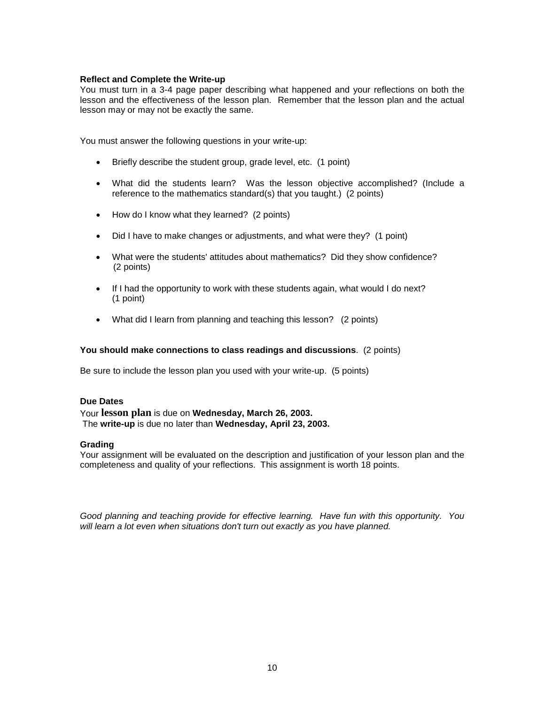#### **Reflect and Complete the Write-up**

You must turn in a 3-4 page paper describing what happened and your reflections on both the lesson and the effectiveness of the lesson plan. Remember that the lesson plan and the actual lesson may or may not be exactly the same.

You must answer the following questions in your write-up:

- Briefly describe the student group, grade level, etc. (1 point)
- What did the students learn? Was the lesson objective accomplished? (Include a reference to the mathematics standard(s) that you taught.) (2 points)
- How do I know what they learned? (2 points)
- Did I have to make changes or adjustments, and what were they? (1 point)
- What were the students' attitudes about mathematics? Did they show confidence? (2 points)
- If I had the opportunity to work with these students again, what would I do next? (1 point)
- What did I learn from planning and teaching this lesson? (2 points)

#### **You should make connections to class readings and discussions**. (2 points)

Be sure to include the lesson plan you used with your write-up. (5 points)

#### **Due Dates**

Your **lesson plan** is due on **Wednesday, March 26, 2003.**  The **write-up** is due no later than **Wednesday, April 23, 2003.**

#### **Grading**

Your assignment will be evaluated on the description and justification of your lesson plan and the completeness and quality of your reflections. This assignment is worth 18 points.

*Good planning and teaching provide for effective learning. Have fun with this opportunity. You will learn a lot even when situations don't turn out exactly as you have planned.*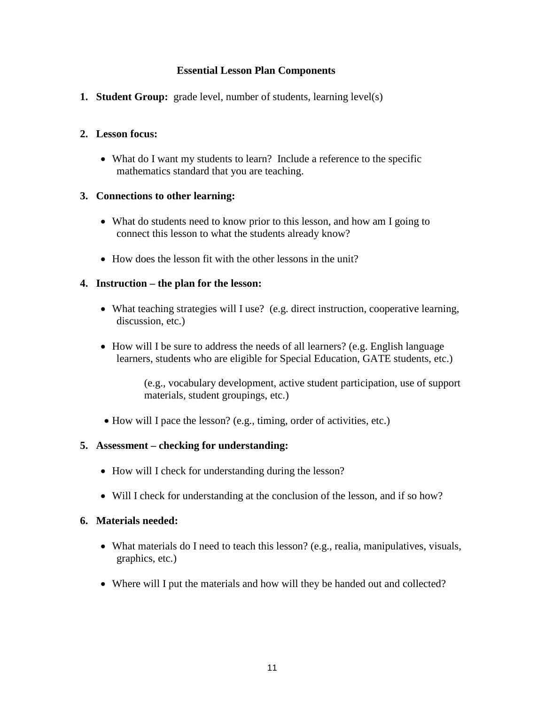# **Essential Lesson Plan Components**

**1. Student Group:** grade level, number of students, learning level(s)

# **2. Lesson focus:**

• What do I want my students to learn? Include a reference to the specific mathematics standard that you are teaching.

# **3. Connections to other learning:**

- What do students need to know prior to this lesson, and how am I going to connect this lesson to what the students already know?
- How does the lesson fit with the other lessons in the unit?

# **4. Instruction – the plan for the lesson:**

- What teaching strategies will I use? (e.g. direct instruction, cooperative learning, discussion, etc.)
- How will I be sure to address the needs of all learners? (e.g. English language learners, students who are eligible for Special Education, GATE students, etc.)

(e.g., vocabulary development, active student participation, use of support materials, student groupings, etc.)

• How will I pace the lesson? (e.g., timing, order of activities, etc.)

# **5. Assessment – checking for understanding:**

- How will I check for understanding during the lesson?
- Will I check for understanding at the conclusion of the lesson, and if so how?

# **6. Materials needed:**

- What materials do I need to teach this lesson? (e.g., realia, manipulatives, visuals, graphics, etc.)
- Where will I put the materials and how will they be handed out and collected?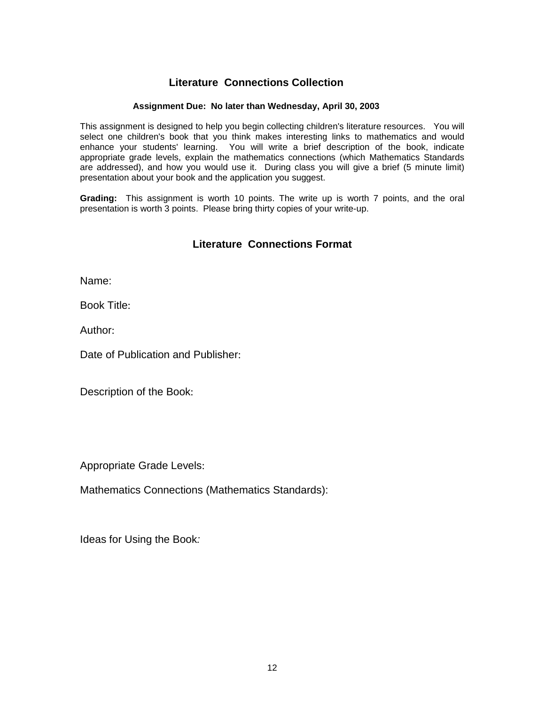# **Literature Connections Collection**

### **Assignment Due: No later than Wednesday, April 30, 2003**

This assignment is designed to help you begin collecting children's literature resources. You will select one children's book that you think makes interesting links to mathematics and would enhance your students' learning. You will write a brief description of the book, indicate appropriate grade levels, explain the mathematics connections (which Mathematics Standards are addressed), and how you would use it. During class you will give a brief (5 minute limit) presentation about your book and the application you suggest.

**Grading:** This assignment is worth 10 points. The write up is worth 7 points, and the oral presentation is worth 3 points. Please bring thirty copies of your write-up.

# **Literature Connections Format**

Name:

Book Title:

Author:

Date of Publication and Publisher:

Description of the Book:

Appropriate Grade Levels:

Mathematics Connections (Mathematics Standards):

Ideas for Using the Book*:*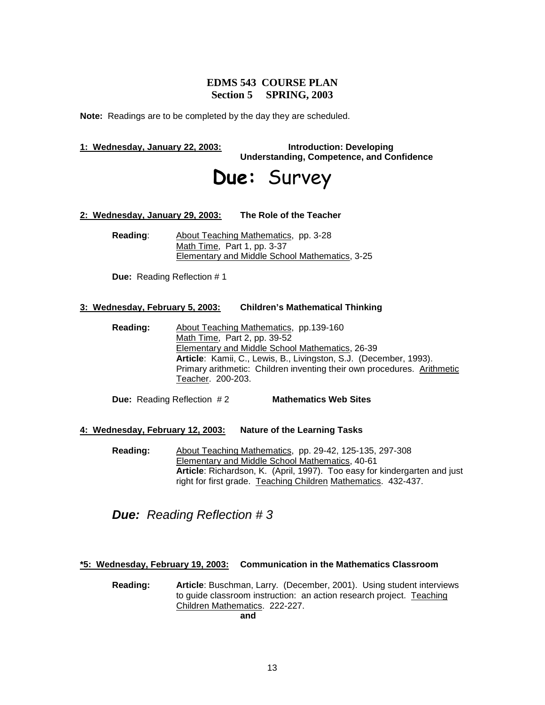# **EDMS 543 COURSE PLAN Section 5 SPRING, 2003**

**Note:** Readings are to be completed by the day they are scheduled.

#### **1: Wednesday, January 22, 2003: Introduction: Developing**

**Understanding, Competence, and Confidence**

# **Due:** Survey

#### **2: Wednesday, January 29, 2003: The Role of the Teacher**

**Reading**: About Teaching Mathematics, pp. 3-28 Math Time, Part 1, pp. 3-37 Elementary and Middle School Mathematics, 3-25

**Due:** Reading Reflection # 1

#### **3: Wednesday, February 5, 2003: Children's Mathematical Thinking**

**Reading:** About Teaching Mathematics, pp.139-160 Math Time, Part 2, pp. 39-52 Elementary and Middle School Mathematics, 26-39 **Article**: Kamii, C., Lewis, B., Livingston, S.J. (December, 1993). Primary arithmetic: Children inventing their own procedures. Arithmetic Teacher. 200-203.

**Due:** Reading Reflection # 2 **Mathematics Web Sites**

#### **4: Wednesday, February 12, 2003: Nature of the Learning Tasks**

**Reading:** About Teaching Mathematics, pp. 29-42, 125-135, 297-308 Elementary and Middle School Mathematics, 40-61 **Article**: Richardson, K. (April, 1997). Too easy for kindergarten and just right for first grade. Teaching Children Mathematics. 432-437.

*Due: Reading Reflection # 3*

#### **\*5: Wednesday, February 19, 2003: Communication in the Mathematics Classroom**

**Reading: Article**: Buschman, Larry. (December, 2001). Using student interviews to guide classroom instruction: an action research project. Teaching Children Mathematics. 222-227. **and**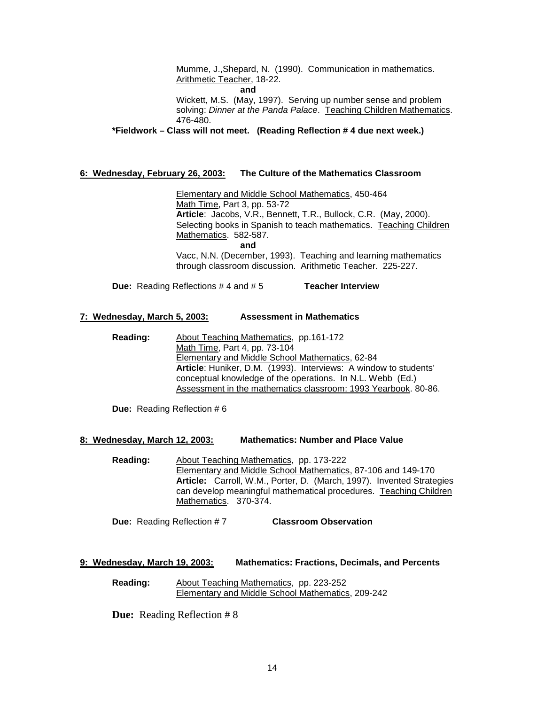Mumme, J.,Shepard, N. (1990). Communication in mathematics. Arithmetic Teacher, 18-22.

**and**

Wickett, M.S. (May, 1997). Serving up number sense and problem solving: *Dinner at the Panda Palace*. Teaching Children Mathematics. 476-480.

**\*Fieldwork – Class will not meet. (Reading Reflection # 4 due next week.)**

#### **6: Wednesday, February 26, 2003: The Culture of the Mathematics Classroom**

Elementary and Middle School Mathematics, 450-464 Math Time, Part 3, pp. 53-72 **Article**: Jacobs, V.R., Bennett, T.R., Bullock, C.R. (May, 2000). Selecting books in Spanish to teach mathematics. Teaching Children Mathematics. 582-587. **and**

Vacc, N.N. (December, 1993). Teaching and learning mathematics through classroom discussion. Arithmetic Teacher. 225-227.

**Due:** Reading Reflections # 4 and # 5 **Teacher Interview**

#### **7: Wednesday, March 5, 2003: Assessment in Mathematics**

**Reading:** About Teaching Mathematics, pp.161-172 Math Time, Part 4, pp. 73-104 Elementary and Middle School Mathematics, 62-84 **Article**: Huniker, D.M. (1993). Interviews: A window to students' conceptual knowledge of the operations. In N.L. Webb (Ed.) Assessment in the mathematics classroom: 1993 Yearbook. 80-86.

**Due:** Reading Reflection # 6

#### **8: Wednesday, March 12, 2003: Mathematics: Number and Place Value**

**Reading:** About Teaching Mathematics, pp. 173-222 Elementary and Middle School Mathematics, 87-106 and 149-170 **Article:** Carroll, W.M., Porter, D. (March, 1997). Invented Strategies can develop meaningful mathematical procedures. Teaching Children Mathematics. 370-374.

**Due:** Reading Reflection # 7 **Classroom Observation**

#### **9: Wednesday, March 19, 2003: Mathematics: Fractions, Decimals, and Percents**

**Reading:** About Teaching Mathematics, pp. 223-252 Elementary and Middle School Mathematics, 209-242

**Due:** Reading Reflection # 8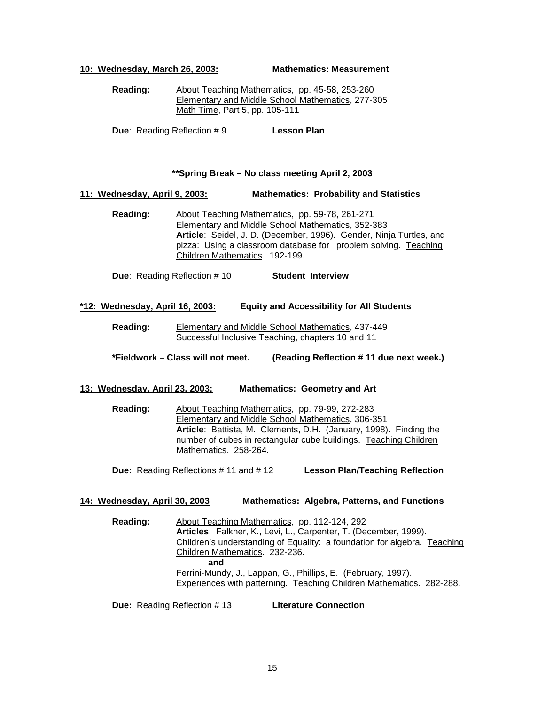**10: Wednesday, March 26, 2003: Mathematics: Measurement**

**Reading:** About Teaching Mathematics, pp. 45-58, 253-260 Elementary and Middle School Mathematics, 277-305 Math Time, Part 5, pp. 105-111

**Due:** Reading Reflection # 9 **Lesson Plan** 

#### **\*\*Spring Break – No class meeting April 2, 2003**

#### **11: Wednesday, April 9, 2003: Mathematics: Probability and Statistics**

**Reading:** About Teaching Mathematics, pp. 59-78, 261-271 Elementary and Middle School Mathematics, 352-383 **Article**: Seidel, J. D. (December, 1996). Gender, Ninja Turtles, and pizza: Using a classroom database for problem solving. Teaching Children Mathematics. 192-199.

**Due**: Reading Reflection # 10 **Student Interview**

#### **\*12: Wednesday, April 16, 2003: Equity and Accessibility for All Students**

**Reading:** Elementary and Middle School Mathematics, 437-449 Successful Inclusive Teaching, chapters 10 and 11

**\*Fieldwork – Class will not meet. (Reading Reflection # 11 due next week.)**

#### **13: Wednesday, April 23, 2003: Mathematics: Geometry and Art**

**Reading:** About Teaching Mathematics, pp. 79-99, 272-283 Elementary and Middle School Mathematics, 306-351 **Article**: Battista, M., Clements, D.H. (January, 1998). Finding the number of cubes in rectangular cube buildings. Teaching Children Mathematics. 258-264.

**Due:** Reading Reflections # 11 and # 12 **Lesson Plan/Teaching Reflection**

#### **14: Wednesday, April 30, 2003 Mathematics: Algebra, Patterns, and Functions**

**Reading:** About Teaching Mathematics, pp. 112-124, 292 **Articles**: Falkner, K., Levi, L., Carpenter, T. (December, 1999). Children's understanding of Equality: a foundation for algebra. Teaching Children Mathematics. 232-236. **and** Ferrini-Mundy, J., Lappan, G., Phillips, E. (February, 1997). Experiences with patterning. Teaching Children Mathematics. 282-288.

**Due:** Reading Reflection # 13 **Literature Connection**